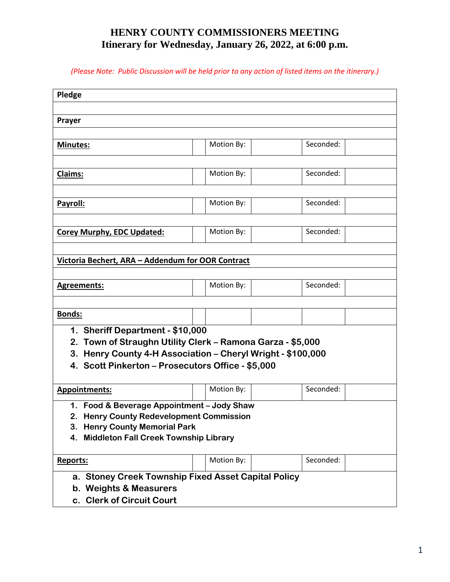## **HENRY COUNTY COMMISSIONERS MEETING Itinerary for Wednesday, January 26, 2022, at 6:00 p.m.**

*(Please Note: Public Discussion will be held prior to any action of listed items on the itinerary.)*

| Pledge                                                      |            |           |  |  |  |  |  |
|-------------------------------------------------------------|------------|-----------|--|--|--|--|--|
|                                                             |            |           |  |  |  |  |  |
|                                                             |            |           |  |  |  |  |  |
| Prayer                                                      |            |           |  |  |  |  |  |
|                                                             |            |           |  |  |  |  |  |
| Minutes:                                                    | Motion By: | Seconded: |  |  |  |  |  |
|                                                             |            |           |  |  |  |  |  |
| Claims:                                                     | Motion By: | Seconded: |  |  |  |  |  |
|                                                             |            |           |  |  |  |  |  |
|                                                             |            |           |  |  |  |  |  |
| Payroll:                                                    | Motion By: | Seconded: |  |  |  |  |  |
|                                                             |            |           |  |  |  |  |  |
| <b>Corey Murphy, EDC Updated:</b>                           | Motion By: | Seconded: |  |  |  |  |  |
|                                                             |            |           |  |  |  |  |  |
| Victoria Bechert, ARA - Addendum for OOR Contract           |            |           |  |  |  |  |  |
|                                                             |            |           |  |  |  |  |  |
| <b>Agreements:</b>                                          | Motion By: | Seconded: |  |  |  |  |  |
|                                                             |            |           |  |  |  |  |  |
|                                                             |            |           |  |  |  |  |  |
| <b>Bonds:</b>                                               |            |           |  |  |  |  |  |
| 1. Sheriff Department - \$10,000                            |            |           |  |  |  |  |  |
| 2. Town of Straughn Utility Clerk - Ramona Garza - \$5,000  |            |           |  |  |  |  |  |
| 3. Henry County 4-H Association - Cheryl Wright - \$100,000 |            |           |  |  |  |  |  |
| 4. Scott Pinkerton - Prosecutors Office - \$5,000           |            |           |  |  |  |  |  |
|                                                             |            |           |  |  |  |  |  |
| <b>Appointments:</b>                                        | Motion By: | Seconded: |  |  |  |  |  |
| 1. Food & Beverage Appointment - Jody Shaw                  |            |           |  |  |  |  |  |
| 2. Henry County Redevelopment Commission                    |            |           |  |  |  |  |  |
| <b>Henry County Memorial Park</b><br>3.                     |            |           |  |  |  |  |  |
| 4. Middleton Fall Creek Township Library                    |            |           |  |  |  |  |  |
|                                                             |            |           |  |  |  |  |  |
| <b>Reports:</b>                                             | Motion By: | Seconded: |  |  |  |  |  |
| a. Stoney Creek Township Fixed Asset Capital Policy         |            |           |  |  |  |  |  |
| b. Weights & Measurers                                      |            |           |  |  |  |  |  |
| c. Clerk of Circuit Court                                   |            |           |  |  |  |  |  |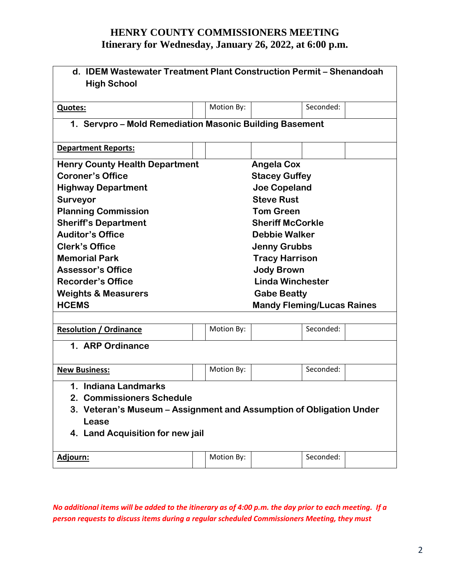## **HENRY COUNTY COMMISSIONERS MEETING Itinerary for Wednesday, January 26, 2022, at 6:00 p.m.**

| d. IDEM Wastewater Treatment Plant Construction Permit - Shenandoah<br><b>High School</b>                                                                                                                                                                                                                                                                                                                                                                                                                                                                                         |  |            |  |           |  |  |  |
|-----------------------------------------------------------------------------------------------------------------------------------------------------------------------------------------------------------------------------------------------------------------------------------------------------------------------------------------------------------------------------------------------------------------------------------------------------------------------------------------------------------------------------------------------------------------------------------|--|------------|--|-----------|--|--|--|
| <b>Quotes:</b>                                                                                                                                                                                                                                                                                                                                                                                                                                                                                                                                                                    |  | Motion By: |  | Seconded: |  |  |  |
| 1. Servpro – Mold Remediation Masonic Building Basement                                                                                                                                                                                                                                                                                                                                                                                                                                                                                                                           |  |            |  |           |  |  |  |
| <b>Department Reports:</b>                                                                                                                                                                                                                                                                                                                                                                                                                                                                                                                                                        |  |            |  |           |  |  |  |
| <b>Henry County Health Department</b><br><b>Angela Cox</b><br><b>Coroner's Office</b><br><b>Stacey Guffey</b><br><b>Joe Copeland</b><br><b>Highway Department</b><br><b>Steve Rust</b><br><b>Surveyor</b><br><b>Planning Commission</b><br><b>Tom Green</b><br><b>Sheriff's Department</b><br><b>Sheriff McCorkle</b><br><b>Auditor's Office</b><br><b>Debbie Walker</b><br><b>Clerk's Office</b><br><b>Jenny Grubbs</b><br><b>Memorial Park</b><br><b>Tracy Harrison</b><br><b>Assessor's Office</b><br><b>Jody Brown</b><br><b>Linda Winchester</b><br><b>Recorder's Office</b> |  |            |  |           |  |  |  |
| <b>Weights &amp; Measurers</b><br><b>Gabe Beatty</b><br><b>HCEMS</b><br><b>Mandy Fleming/Lucas Raines</b>                                                                                                                                                                                                                                                                                                                                                                                                                                                                         |  |            |  |           |  |  |  |
| <b>Resolution / Ordinance</b><br>1. ARP Ordinance                                                                                                                                                                                                                                                                                                                                                                                                                                                                                                                                 |  | Motion By: |  | Seconded: |  |  |  |
| <b>New Business:</b>                                                                                                                                                                                                                                                                                                                                                                                                                                                                                                                                                              |  | Motion By: |  | Seconded: |  |  |  |
| 1. Indiana Landmarks<br>2. Commissioners Schedule<br>3. Veteran's Museum - Assignment and Assumption of Obligation Under<br>Lease<br>4. Land Acquisition for new jail                                                                                                                                                                                                                                                                                                                                                                                                             |  |            |  |           |  |  |  |
| <u> Adjourn:</u>                                                                                                                                                                                                                                                                                                                                                                                                                                                                                                                                                                  |  | Motion By: |  | Seconded: |  |  |  |

*No additional items will be added to the itinerary as of 4:00 p.m. the day prior to each meeting. If a person requests to discuss items during a regular scheduled Commissioners Meeting, they must*